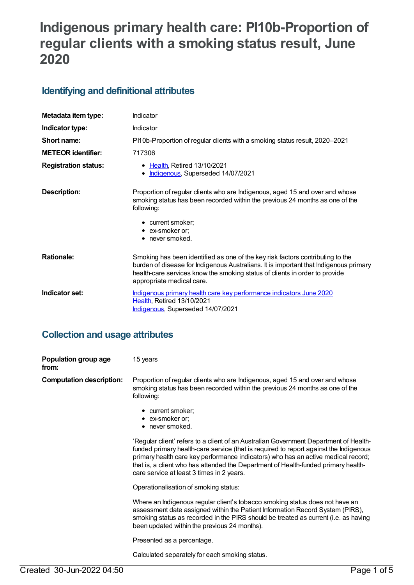# **Indigenous primary health care: PI10b-Proportion of regular clients with a smoking status result, June 2020**

## **Identifying and definitional attributes**

| Metadata item type:         | Indicator                                                                                                                                                                                                                                                                           |
|-----------------------------|-------------------------------------------------------------------------------------------------------------------------------------------------------------------------------------------------------------------------------------------------------------------------------------|
| Indicator type:             | Indicator                                                                                                                                                                                                                                                                           |
| Short name:                 | PI10b-Proportion of regular clients with a smoking status result, 2020–2021                                                                                                                                                                                                         |
| <b>METEOR identifier:</b>   | 717306                                                                                                                                                                                                                                                                              |
| <b>Registration status:</b> | • Health, Retired 13/10/2021<br>Indigenous, Superseded 14/07/2021                                                                                                                                                                                                                   |
| Description:                | Proportion of regular clients who are Indigenous, aged 15 and over and whose<br>smoking status has been recorded within the previous 24 months as one of the<br>following:                                                                                                          |
|                             | • current smoker;<br>• ex-smoker or;<br>$\bullet$ never smoked.                                                                                                                                                                                                                     |
| <b>Rationale:</b>           | Smoking has been identified as one of the key risk factors contributing to the<br>burden of disease for Indigenous Australians. It is important that Indigenous primary<br>health-care services know the smoking status of clients in order to provide<br>appropriate medical care. |
| Indicator set:              | Indigenous primary health care key performance indicators June 2020<br><b>Health, Retired 13/10/2021</b><br>Indigenous, Superseded 14/07/2021                                                                                                                                       |

### **Collection and usage attributes**

| Population group age<br>from:   | 15 years                                                                                                                                                                                                                                                                                                                                                                                               |
|---------------------------------|--------------------------------------------------------------------------------------------------------------------------------------------------------------------------------------------------------------------------------------------------------------------------------------------------------------------------------------------------------------------------------------------------------|
| <b>Computation description:</b> | Proportion of regular clients who are Indigenous, aged 15 and over and whose<br>smoking status has been recorded within the previous 24 months as one of the<br>following:                                                                                                                                                                                                                             |
|                                 | • current smoker;<br>$\bullet$ ex-smoker or;<br>• never smoked.                                                                                                                                                                                                                                                                                                                                        |
|                                 | 'Regular client' refers to a client of an Australian Government Department of Health-<br>funded primary health-care service (that is required to report against the Indigenous<br>primary health care key performance indicators) who has an active medical record;<br>that is, a client who has attended the Department of Health-funded primary health-<br>care service at least 3 times in 2 years. |
|                                 | Operationalisation of smoking status:                                                                                                                                                                                                                                                                                                                                                                  |
|                                 | Where an Indigenous regular client's tobacco smoking status does not have an<br>assessment date assigned within the Patient Information Record System (PIRS),<br>smoking status as recorded in the PIRS should be treated as current (i.e. as having<br>been updated within the previous 24 months).                                                                                                   |
|                                 | Presented as a percentage.                                                                                                                                                                                                                                                                                                                                                                             |
|                                 | Calculated separately for each smoking status.                                                                                                                                                                                                                                                                                                                                                         |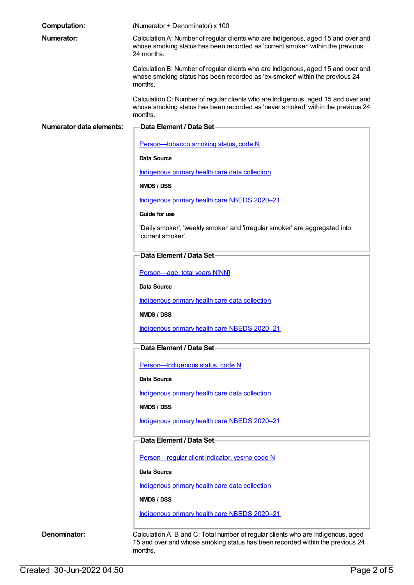| <b>Computation:</b>      | (Numerator + Denominator) x 100                                                                                                                                                   |
|--------------------------|-----------------------------------------------------------------------------------------------------------------------------------------------------------------------------------|
| Numerator:               | Calculation A: Number of regular clients who are Indigenous, aged 15 and over and<br>whose smoking status has been recorded as 'current smoker' within the previous<br>24 months. |
|                          | Calculation B: Number of regular clients who are Indigenous, aged 15 and over and<br>whose smoking status has been recorded as 'ex-smoker' within the previous 24<br>months.      |
|                          | Calculation C: Number of regular clients who are Indigenous, aged 15 and over and<br>whose smoking status has been recorded as 'never smoked' within the previous 24<br>months.   |
| Numerator data elements: | <b>Data Element / Data Set-</b>                                                                                                                                                   |
|                          | Person-tobacco smoking status, code N                                                                                                                                             |
|                          | Data Source                                                                                                                                                                       |
|                          | Indigenous primary health care data collection                                                                                                                                    |
|                          | NMDS / DSS                                                                                                                                                                        |
|                          | Indigenous primary health care NBEDS 2020-21                                                                                                                                      |
|                          | Guide for use                                                                                                                                                                     |
|                          | 'Daily smoker', 'weekly smoker' and 'irregular smoker' are aggregated into<br>'current smoker'.                                                                                   |
|                          | Data Element / Data Set-                                                                                                                                                          |
|                          | Person-age, total years N[NN]                                                                                                                                                     |
|                          | <b>Data Source</b>                                                                                                                                                                |
|                          | Indigenous primary health care data collection                                                                                                                                    |
|                          | NMDS / DSS                                                                                                                                                                        |
|                          | Indigenous primary health care NBEDS 2020–21                                                                                                                                      |
|                          | Data Element / Data Set-                                                                                                                                                          |
|                          | Person-Indigenous status, code N                                                                                                                                                  |
|                          | Data Source                                                                                                                                                                       |
|                          | Indigenous primary health care data collection                                                                                                                                    |
|                          | NMDS / DSS                                                                                                                                                                        |
|                          | Indigenous primary health care NBEDS 2020-21                                                                                                                                      |
|                          | Data Element / Data Set-                                                                                                                                                          |
|                          | Person-regular client indicator, yes/no code N                                                                                                                                    |
|                          | <b>Data Source</b>                                                                                                                                                                |
|                          | Indigenous primary health care data collection                                                                                                                                    |
|                          | NMDS / DSS                                                                                                                                                                        |
|                          | Indigenous primary health care NBEDS 2020-21                                                                                                                                      |
| Denominator:             | Calculation A, B and C: Total number of regular clients who are Indigenous, aged<br>15 and over and whose smoking status has been recorded within the previous 24<br>months.      |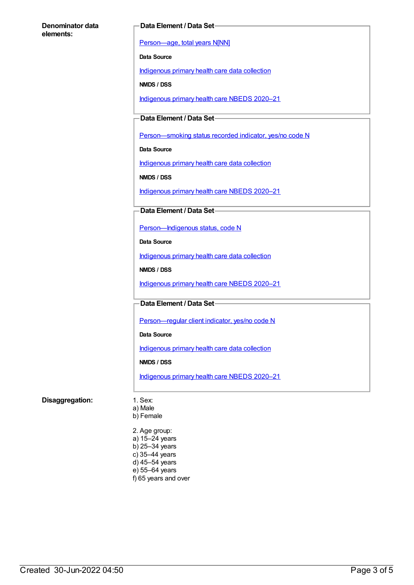#### **Denominator data elements:**

#### **Data Element / Data Set**

[Person—age,](https://meteor.aihw.gov.au/content/303794) total years N[NN]

**Data Source**

[Indigenous](https://meteor.aihw.gov.au/content/430643) primary health care data collection

**NMDS / DSS**

[Indigenous](https://meteor.aihw.gov.au/content/715320) primary health care NBEDS 2020–21

**Data Element / Data Set**

Person-smoking status recorded indicator, yes/no code N

**Data Source**

[Indigenous](https://meteor.aihw.gov.au/content/430643) primary health care data collection

**NMDS / DSS**

[Indigenous](https://meteor.aihw.gov.au/content/715320) primary health care NBEDS 2020–21

#### **Data Element / Data Set**

[Person—Indigenous](https://meteor.aihw.gov.au/content/602543) status, code N

**Data Source**

[Indigenous](https://meteor.aihw.gov.au/content/430643) primary health care data collection

**NMDS / DSS**

[Indigenous](https://meteor.aihw.gov.au/content/715320) primary health care NBEDS 2020–21

**Data Element / Data Set**

Person-regular client indicator, yes/no code N

**Data Source**

[Indigenous](https://meteor.aihw.gov.au/content/430643) primary health care data collection

**NMDS / DSS**

[Indigenous](https://meteor.aihw.gov.au/content/715320) primary health care NBEDS 2020–21

#### **Disaggregation:** 1. Sex:

a) Male b) Female

2. Age group: a) 15–24 years b) 25–34 years c) 35–44 years d) 45–54 years e) 55–64 years f) 65 years and over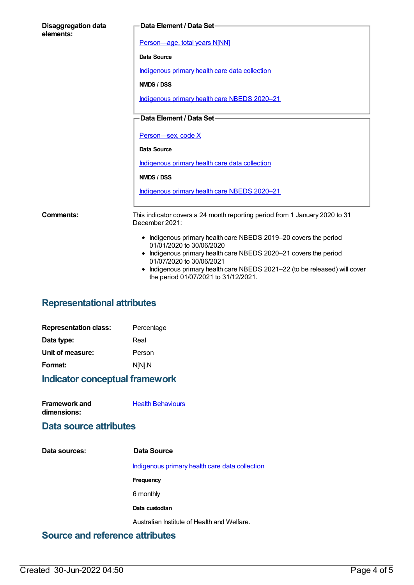| <b>Disaggregation data</b><br>elements: | <b>Data Element / Data Set-</b>                                                                                          |
|-----------------------------------------|--------------------------------------------------------------------------------------------------------------------------|
|                                         | Person-age, total years N[NN]                                                                                            |
|                                         | Data Source                                                                                                              |
|                                         | Indigenous primary health care data collection                                                                           |
|                                         | NMDS / DSS                                                                                                               |
|                                         | Indigenous primary health care NBEDS 2020-21                                                                             |
|                                         | Data Element / Data Set-                                                                                                 |
|                                         | Person-sex, code X                                                                                                       |
|                                         |                                                                                                                          |
|                                         | <b>Data Source</b>                                                                                                       |
|                                         | Indigenous primary health care data collection                                                                           |
|                                         | NMDS / DSS                                                                                                               |
|                                         | Indigenous primary health care NBEDS 2020-21                                                                             |
| <b>Comments:</b>                        | This indicator covers a 24 month reporting period from 1 January 2020 to 31<br>December 2021:                            |
|                                         | • Indigenous primary health care NBEDS 2019-20 covers the period                                                         |
|                                         | 01/01/2020 to 30/06/2020<br>• Indigenous primary health care NBEDS 2020-21 covers the period<br>01/07/2020 to 30/06/2021 |
|                                         | Indigenous primary health care NBEDS 2021-22 (to be released) will cover<br>the period 01/07/2021 to 31/12/2021.         |

## **Representational attributes**

| Indicator conceptual framework |            |
|--------------------------------|------------|
| Format:                        | N[N].N     |
| Unit of measure:               | Person     |
| Data type:                     | Real       |
| <b>Representation class:</b>   | Percentage |

| <b>Framework and</b> | <b>Health Behaviours</b> |
|----------------------|--------------------------|

**dimensions:**

alth [Behaviours](https://meteor.aihw.gov.au/content/410676)

### **Data source attributes**

| Data sources: | Data Source                                    |
|---------------|------------------------------------------------|
|               | Indigenous primary health care data collection |
|               | Frequency                                      |
|               | 6 monthly                                      |
|               | Data custodian                                 |
|               | Australian Institute of Health and Welfare.    |
|               |                                                |

## **Source and reference attributes**